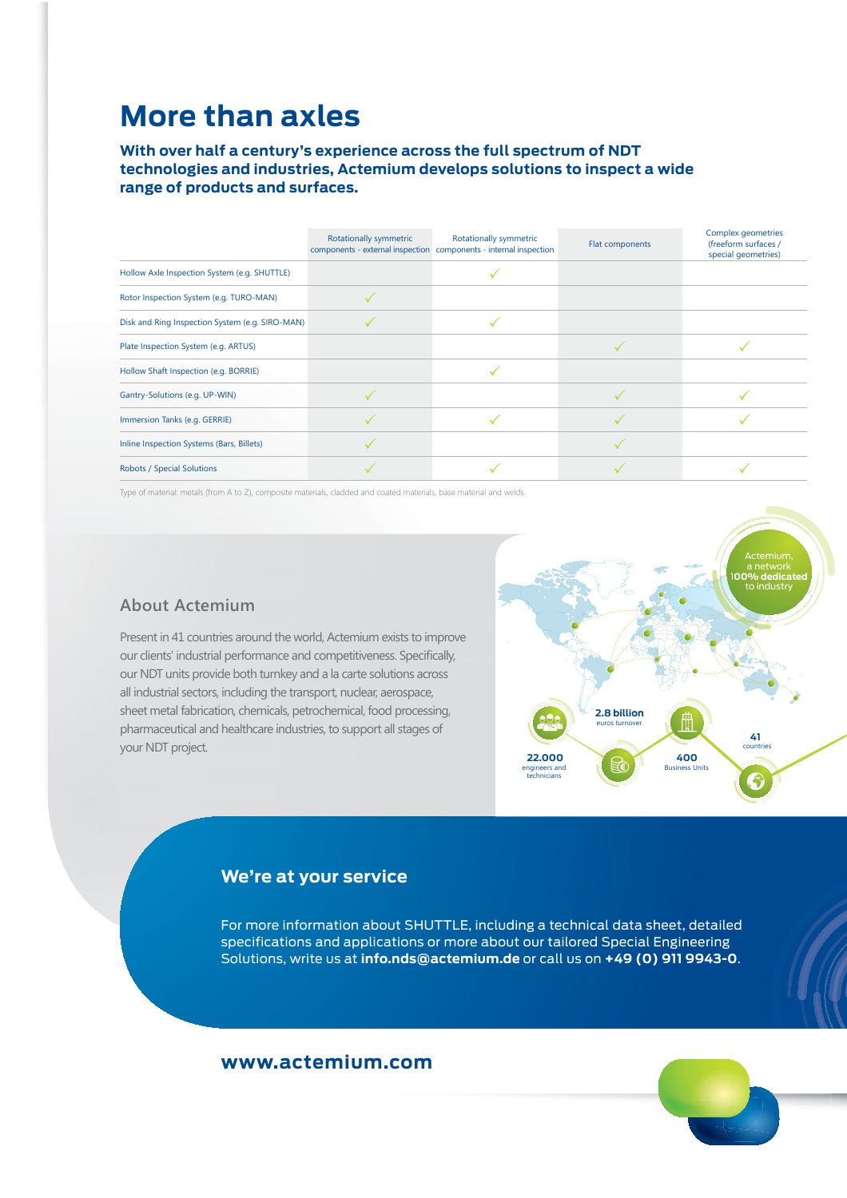## **More than axles**

**With over half a century's experience across the full spectrum of NDT technologies and industries, Actemium develops solutions to inspect a wide range of products and surfaces.** 

|                                                 | Rotationally symmetric | Rotationally symmetric<br>components - external inspection components - internal inspection | Flat components | Complex geometries<br>(freeform surfaces /<br>special geometries) |
|-------------------------------------------------|------------------------|---------------------------------------------------------------------------------------------|-----------------|-------------------------------------------------------------------|
| Hollow Axle Inspection System (e.g. SHUTTLE)    |                        |                                                                                             |                 |                                                                   |
| Rotor Inspection System (e.g. TURO-MAN)         |                        |                                                                                             |                 |                                                                   |
| Disk and Ring Inspection System (e.g. SIRO-MAN) |                        |                                                                                             |                 |                                                                   |
| Plate Inspection System (e.g. ARTUS)            |                        |                                                                                             |                 |                                                                   |
| Hollow Shaft Inspection (e.g. BORRIE)           |                        |                                                                                             |                 |                                                                   |
| Gantry-Solutions (e.g. UP-WIN)                  |                        |                                                                                             |                 |                                                                   |
| Immersion Tanks (e.g. GERRIE)                   |                        |                                                                                             |                 |                                                                   |
| Inline Inspection Systems (Bars, Billets)       |                        |                                                                                             |                 |                                                                   |
| Robots / Special Solutions                      |                        |                                                                                             |                 |                                                                   |

Type of material: metals (from A to Z), composite materials, cladded and coated materials, base material and welds.

#### **About Actemium**

Present in 41 countries around the world, Actemium exists to improve our clients' industrial performance and competitiveness. Specifically, our NDT units provide both turnkey and a la carte solutions across all industrial sectors, including the transport, nuclear, aerospace, sheet metal fabrication, chemicals, petrochemical, food processing, pharmaceutical and healthcare industries, to support all stages of your NDT project.



#### **We're at your service**

For more information about SHUTTLE, including a technical data sheet, detailed specifications and applications or more about our tailored Special Engineering Solutions, write us at **info.nds@actemium.de** or call us on **+49 (0) 911 9943-0**.

### **www.actemium.com**